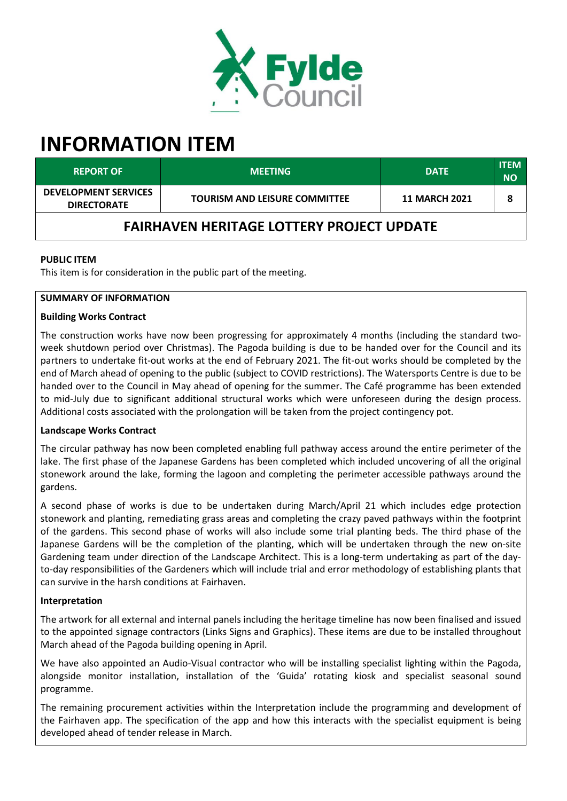

# **INFORMATION ITEM**

| <b>REPORT OF</b>                                  | <b>MEETING</b>                       | <b>DATE</b>          | <b>ITEM</b><br><b>NO</b> |
|---------------------------------------------------|--------------------------------------|----------------------|--------------------------|
| <b>DEVELOPMENT SERVICES</b><br><b>DIRECTORATE</b> | <b>TOURISM AND LEISURE COMMITTEE</b> | <b>11 MARCH 2021</b> |                          |
| <b>FAIRHAVEN HERITAGE LOTTERY PROJECT UPDATE</b>  |                                      |                      |                          |

# **PUBLIC ITEM**

This item is for consideration in the public part of the meeting.

## **SUMMARY OF INFORMATION**

## **Building Works Contract**

The construction works have now been progressing for approximately 4 months (including the standard twoweek shutdown period over Christmas). The Pagoda building is due to be handed over for the Council and its partners to undertake fit-out works at the end of February 2021. The fit-out works should be completed by the end of March ahead of opening to the public (subject to COVID restrictions). The Watersports Centre is due to be handed over to the Council in May ahead of opening for the summer. The Café programme has been extended to mid-July due to significant additional structural works which were unforeseen during the design process. Additional costs associated with the prolongation will be taken from the project contingency pot.

## **Landscape Works Contract**

The circular pathway has now been completed enabling full pathway access around the entire perimeter of the lake. The first phase of the Japanese Gardens has been completed which included uncovering of all the original stonework around the lake, forming the lagoon and completing the perimeter accessible pathways around the gardens.

A second phase of works is due to be undertaken during March/April 21 which includes edge protection stonework and planting, remediating grass areas and completing the crazy paved pathways within the footprint of the gardens. This second phase of works will also include some trial planting beds. The third phase of the Japanese Gardens will be the completion of the planting, which will be undertaken through the new on-site Gardening team under direction of the Landscape Architect. This is a long-term undertaking as part of the dayto-day responsibilities of the Gardeners which will include trial and error methodology of establishing plants that can survive in the harsh conditions at Fairhaven.

## **Interpretation**

The artwork for all external and internal panels including the heritage timeline has now been finalised and issued to the appointed signage contractors (Links Signs and Graphics). These items are due to be installed throughout March ahead of the Pagoda building opening in April.

We have also appointed an Audio-Visual contractor who will be installing specialist lighting within the Pagoda, alongside monitor installation, installation of the 'Guida' rotating kiosk and specialist seasonal sound programme.

The remaining procurement activities within the Interpretation include the programming and development of the Fairhaven app. The specification of the app and how this interacts with the specialist equipment is being developed ahead of tender release in March.